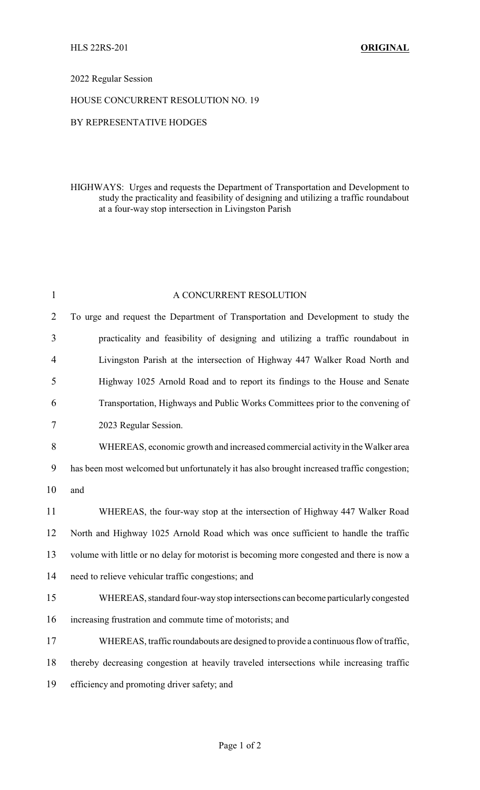## 2022 Regular Session

## HOUSE CONCURRENT RESOLUTION NO. 19

## BY REPRESENTATIVE HODGES

HIGHWAYS: Urges and requests the Department of Transportation and Development to study the practicality and feasibility of designing and utilizing a traffic roundabout at a four-way stop intersection in Livingston Parish

| $\mathbf{1}$   | A CONCURRENT RESOLUTION                                                                    |
|----------------|--------------------------------------------------------------------------------------------|
| $\overline{2}$ | To urge and request the Department of Transportation and Development to study the          |
| 3              | practicality and feasibility of designing and utilizing a traffic roundabout in            |
| 4              | Livingston Parish at the intersection of Highway 447 Walker Road North and                 |
| 5              | Highway 1025 Arnold Road and to report its findings to the House and Senate                |
| 6              | Transportation, Highways and Public Works Committees prior to the convening of             |
| 7              | 2023 Regular Session.                                                                      |
| 8              | WHEREAS, economic growth and increased commercial activity in the Walker area              |
| 9              | has been most welcomed but unfortunately it has also brought increased traffic congestion; |
| 10             | and                                                                                        |
| 11             | WHEREAS, the four-way stop at the intersection of Highway 447 Walker Road                  |
| 12             | North and Highway 1025 Arnold Road which was once sufficient to handle the traffic         |
| 13             | volume with little or no delay for motorist is becoming more congested and there is now a  |
| 14             | need to relieve vehicular traffic congestions; and                                         |
| 15             | WHEREAS, standard four-way stop intersections can become particularly congested            |
| 16             | increasing frustration and commute time of motorists; and                                  |
| 17             | WHEREAS, traffic roundabouts are designed to provide a continuous flow of traffic,         |
| 18             | thereby decreasing congestion at heavily traveled intersections while increasing traffic   |
| 19             | efficiency and promoting driver safety; and                                                |